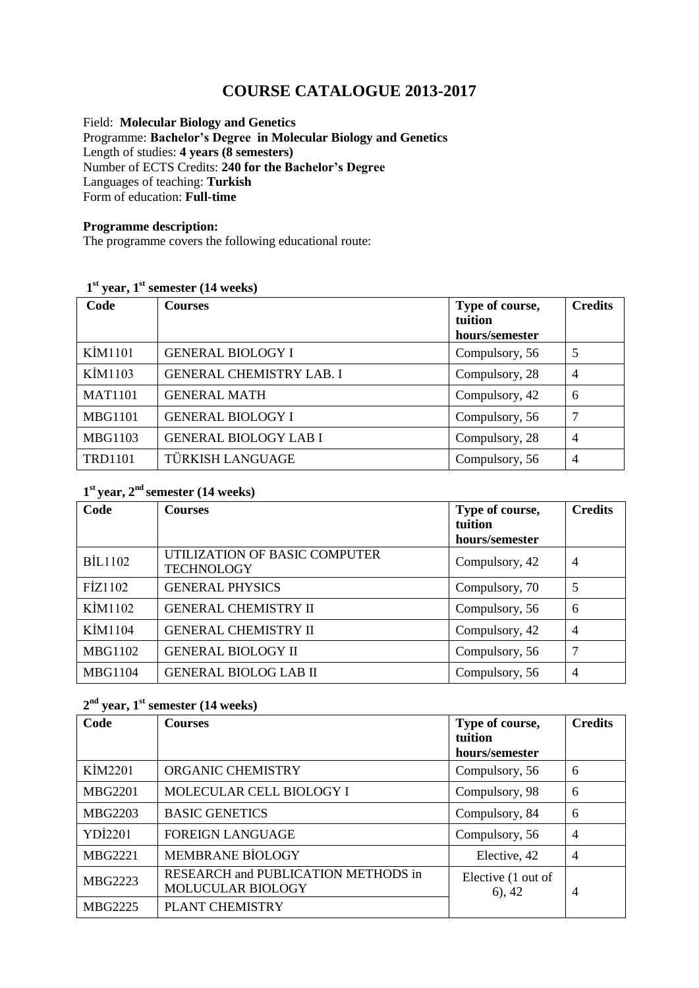# **COURSE CATALOGUE 2013-2017**

Field: **Molecular Biology and Genetics** Programme: **Bachelor's Degree in Molecular Biology and Genetics**  Length of studies: **4 years (8 semesters)**  Number of ECTS Credits: **240 for the Bachelor's Degree** Languages of teaching: **Turkish** Form of education: **Full-time** 

#### **Programme description:**

The programme covers the following educational route:

### **1 st year, 1st semester (14 weeks)**

| Code           | <b>Courses</b>                  | Type of course,<br>tuition<br>hours/semester | <b>Credits</b> |
|----------------|---------------------------------|----------------------------------------------|----------------|
| KİM1101        | <b>GENERAL BIOLOGY I</b>        | Compulsory, 56                               | 5              |
| KİM1103        | <b>GENERAL CHEMISTRY LAB. I</b> | Compulsory, 28                               | $\overline{4}$ |
| <b>MAT1101</b> | <b>GENERAL MATH</b>             | Compulsory, 42                               | 6              |
| <b>MBG1101</b> | <b>GENERAL BIOLOGY I</b>        | Compulsory, 56                               | 7              |
| <b>MBG1103</b> | <b>GENERAL BIOLOGY LAB I</b>    | Compulsory, 28                               | $\overline{4}$ |
| <b>TRD1101</b> | TÜRKISH LANGUAGE                | Compulsory, 56                               | $\overline{4}$ |

### **1 st year, 2nd semester (14 weeks)**

| Code           | <b>Courses</b>                                     | Type of course, | <b>Credits</b> |
|----------------|----------------------------------------------------|-----------------|----------------|
|                |                                                    | tuition         |                |
|                |                                                    | hours/semester  |                |
| <b>BIL1102</b> | UTILIZATION OF BASIC COMPUTER<br><b>TECHNOLOGY</b> | Compulsory, 42  | 4              |
| FİZ1102        | <b>GENERAL PHYSICS</b>                             | Compulsory, 70  | 5              |
| KİM1102        | <b>GENERAL CHEMISTRY II</b>                        | Compulsory, 56  | 6              |
| KİM1104        | <b>GENERAL CHEMISTRY II</b>                        | Compulsory, 42  | 4              |
| <b>MBG1102</b> | <b>GENERAL BIOLOGY II</b>                          | Compulsory, 56  | 7              |
| <b>MBG1104</b> | <b>GENERAL BIOLOG LAB II</b>                       | Compulsory, 56  | 4              |

#### **2 nd year, 1st semester (14 weeks)**

| Code           | <b>Courses</b>                                           | Type of course,<br>tuition       | <b>Credits</b> |
|----------------|----------------------------------------------------------|----------------------------------|----------------|
|                |                                                          | hours/semester                   |                |
| KİM2201        | ORGANIC CHEMISTRY                                        | Compulsory, 56                   | 6              |
| <b>MBG2201</b> | MOLECULAR CELL BIOLOGY I                                 | Compulsory, 98                   | 6              |
| MBG2203        | <b>BASIC GENETICS</b>                                    | Compulsory, 84                   | 6              |
| <b>YDİ2201</b> | <b>FOREIGN LANGUAGE</b>                                  | Compulsory, 56                   | $\overline{4}$ |
| <b>MBG2221</b> | MEMBRANE BİOLOGY                                         | Elective, 42                     | $\overline{4}$ |
| <b>MBG2223</b> | RESEARCH and PUBLICATION METHODS in<br>MOLUCULAR BIOLOGY | Elective (1 out of<br>$(6)$ , 42 | $\overline{4}$ |
| <b>MBG2225</b> | <b>PLANT CHEMISTRY</b>                                   |                                  |                |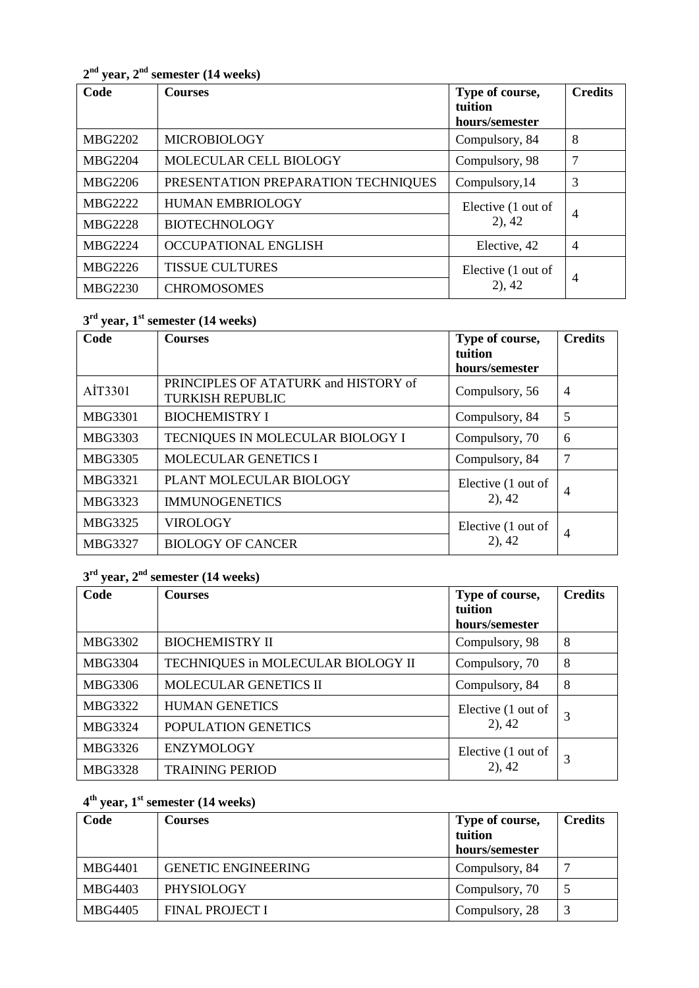**2 nd year, 2 nd semester (14 weeks)**

| Code           | <b>Courses</b>                      | Type of course,<br>tuition<br>hours/semester | <b>Credits</b> |
|----------------|-------------------------------------|----------------------------------------------|----------------|
| <b>MBG2202</b> | <b>MICROBIOLOGY</b>                 | Compulsory, 84                               | 8              |
| <b>MBG2204</b> | MOLECULAR CELL BIOLOGY              | Compulsory, 98                               | 7              |
| MBG2206        | PRESENTATION PREPARATION TECHNIQUES | Compulsory, 14                               | 3              |
| <b>MBG2222</b> | <b>HUMAN EMBRIOLOGY</b>             | Elective (1 out of<br>$2)$ , 42              | $\overline{4}$ |
| <b>MBG2228</b> | <b>BIOTECHNOLOGY</b>                |                                              |                |
| <b>MBG2224</b> | OCCUPATIONAL ENGLISH                | Elective, 42                                 | $\overline{4}$ |
| MBG2226        | <b>TISSUE CULTURES</b>              | Elective (1 out of                           | $\overline{4}$ |
| <b>MBG2230</b> | <b>CHROMOSOMES</b>                  | $2)$ , 42                                    |                |

# **3 rd year, 1 st semester (14 weeks)**

| Code           | <b>Courses</b>                                                  | Type of course,    | <b>Credits</b> |
|----------------|-----------------------------------------------------------------|--------------------|----------------|
|                |                                                                 | tuition            |                |
|                |                                                                 | hours/semester     |                |
| AİT3301        | PRINCIPLES OF ATATURK and HISTORY of<br><b>TURKISH REPUBLIC</b> | Compulsory, 56     | $\overline{4}$ |
| <b>MBG3301</b> | <b>BIOCHEMISTRY I</b>                                           | Compulsory, 84     | 5              |
| MBG3303        | TECNIQUES IN MOLECULAR BIOLOGY I                                | Compulsory, 70     | 6              |
| MBG3305        | <b>MOLECULAR GENETICS I</b>                                     | Compulsory, 84     | 7              |
| <b>MBG3321</b> | PLANT MOLECULAR BIOLOGY                                         | Elective (1 out of | 4              |
| MBG3323        | <b>IMMUNOGENETICS</b>                                           | $2)$ , 42          |                |
| MBG3325        | <b>VIROLOGY</b>                                                 | Elective (1 out of | 4              |
| MBG3327        | <b>BIOLOGY OF CANCER</b>                                        | $2)$ , 42          |                |

# **3 rd year, 2 nd semester (14 weeks)**

| Code           | <b>Courses</b>                     | Type of course,                 | <b>Credits</b> |
|----------------|------------------------------------|---------------------------------|----------------|
|                |                                    | tuition                         |                |
|                |                                    | hours/semester                  |                |
| MBG3302        | <b>BIOCHEMISTRY II</b>             | Compulsory, 98                  | 8              |
| <b>MBG3304</b> | TECHNIQUES in MOLECULAR BIOLOGY II | Compulsory, 70                  | 8              |
| MBG3306        | MOLECULAR GENETICS II              | Compulsory, 84                  | 8              |
| MBG3322        | <b>HUMAN GENETICS</b>              | Elective (1 out of              | 3              |
| MBG3324        | POPULATION GENETICS                | $2)$ , 42                       |                |
| MBG3326        | <b>ENZYMOLOGY</b>                  | Elective (1 out of<br>$2)$ , 42 | 3              |
| MBG3328        | <b>TRAINING PERIOD</b>             |                                 |                |

# **4 th year, 1 st semester (14 weeks)**

| Code    | <b>Courses</b>             | Type of course, | <b>Credits</b> |
|---------|----------------------------|-----------------|----------------|
|         |                            | tuition         |                |
|         |                            | hours/semester  |                |
| MBG4401 | <b>GENETIC ENGINEERING</b> | Compulsory, 84  |                |
| MBG4403 | <b>PHYSIOLOGY</b>          | Compulsory, 70  |                |
| MBG4405 | <b>FINAL PROJECT I</b>     | Compulsory, 28  | 3              |